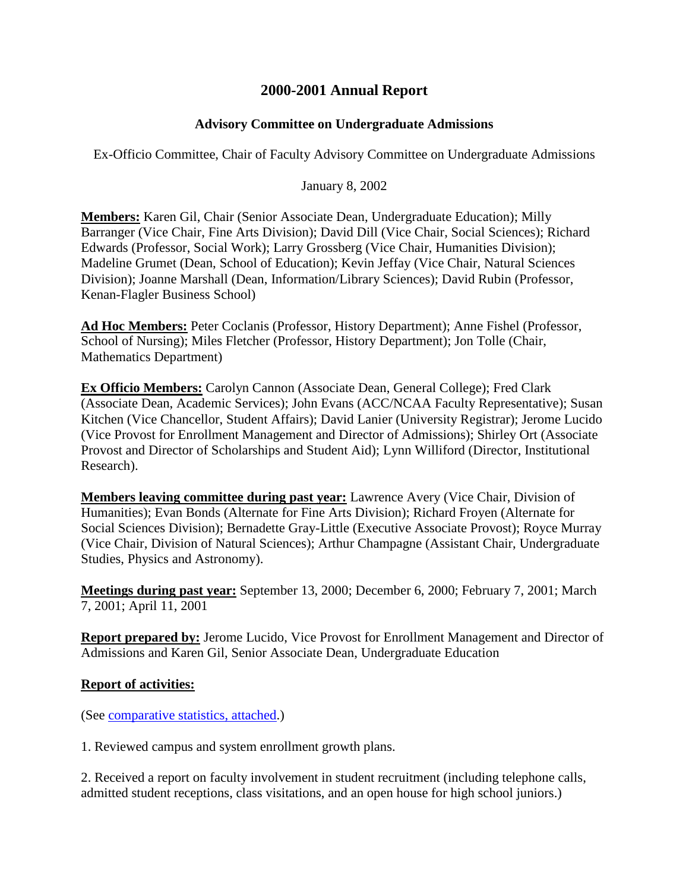## **2000-2001 Annual Report**

## **Advisory Committee on Undergraduate Admissions**

Ex-Officio Committee, Chair of Faculty Advisory Committee on Undergraduate Admissions

January 8, 2002

**Members:** Karen Gil, Chair (Senior Associate Dean, Undergraduate Education); Milly Barranger (Vice Chair, Fine Arts Division); David Dill (Vice Chair, Social Sciences); Richard Edwards (Professor, Social Work); Larry Grossberg (Vice Chair, Humanities Division); Madeline Grumet (Dean, School of Education); Kevin Jeffay (Vice Chair, Natural Sciences Division); Joanne Marshall (Dean, Information/Library Sciences); David Rubin (Professor, Kenan-Flagler Business School)

**Ad Hoc Members:** Peter Coclanis (Professor, History Department); Anne Fishel (Professor, School of Nursing); Miles Fletcher (Professor, History Department); Jon Tolle (Chair, Mathematics Department)

**Ex Officio Members:** Carolyn Cannon (Associate Dean, General College); Fred Clark (Associate Dean, Academic Services); John Evans (ACC/NCAA Faculty Representative); Susan Kitchen (Vice Chancellor, Student Affairs); David Lanier (University Registrar); Jerome Lucido (Vice Provost for Enrollment Management and Director of Admissions); Shirley Ort (Associate Provost and Director of Scholarships and Student Aid); Lynn Williford (Director, Institutional Research).

**Members leaving committee during past year:** Lawrence Avery (Vice Chair, Division of Humanities); Evan Bonds (Alternate for Fine Arts Division); Richard Froyen (Alternate for Social Sciences Division); Bernadette Gray-Little (Executive Associate Provost); Royce Murray (Vice Chair, Division of Natural Sciences); Arthur Champagne (Assistant Chair, Undergraduate Studies, Physics and Astronomy).

**Meetings during past year:** September 13, 2000; December 6, 2000; February 7, 2001; March 7, 2001; April 11, 2001

**Report prepared by:** Jerome Lucido, Vice Provost for Enrollment Management and Director of Admissions and Karen Gil, Senior Associate Dean, Undergraduate Education

## **Report of activities:**

(See [comparative statistics, attached.](http://www.unc.edu/faculty/faccoun/reports/2001-02/R02ACA2.htm))

1. Reviewed campus and system enrollment growth plans.

2. Received a report on faculty involvement in student recruitment (including telephone calls, admitted student receptions, class visitations, and an open house for high school juniors.)